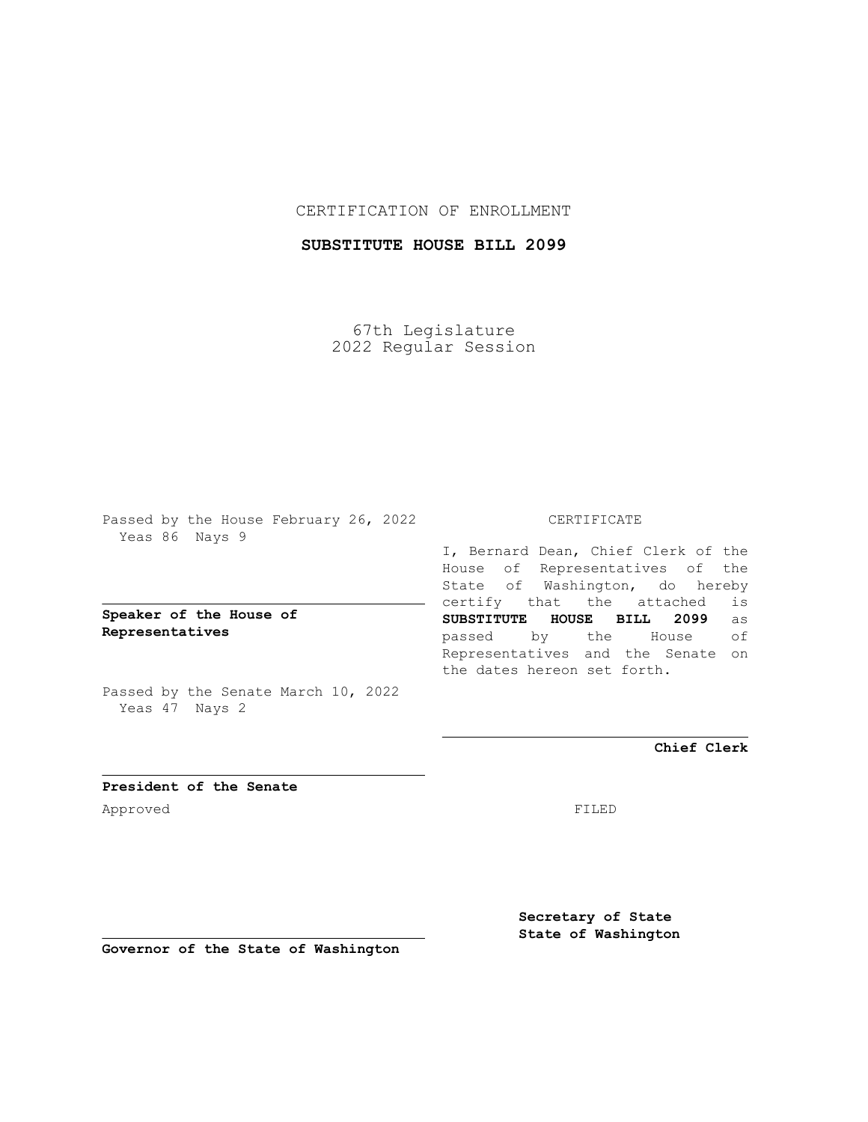## CERTIFICATION OF ENROLLMENT

## **SUBSTITUTE HOUSE BILL 2099**

67th Legislature 2022 Regular Session

Passed by the House February 26, 2022 Yeas 86 Nays 9

## **Speaker of the House of Representatives**

Passed by the Senate March 10, 2022 Yeas 47 Nays 2

### CERTIFICATE

I, Bernard Dean, Chief Clerk of the House of Representatives of the State of Washington, do hereby certify that the attached is **SUBSTITUTE HOUSE BILL 2099** as passed by the House of Representatives and the Senate on the dates hereon set forth.

**Chief Clerk**

**President of the Senate** Approved FILED

**Secretary of State State of Washington**

**Governor of the State of Washington**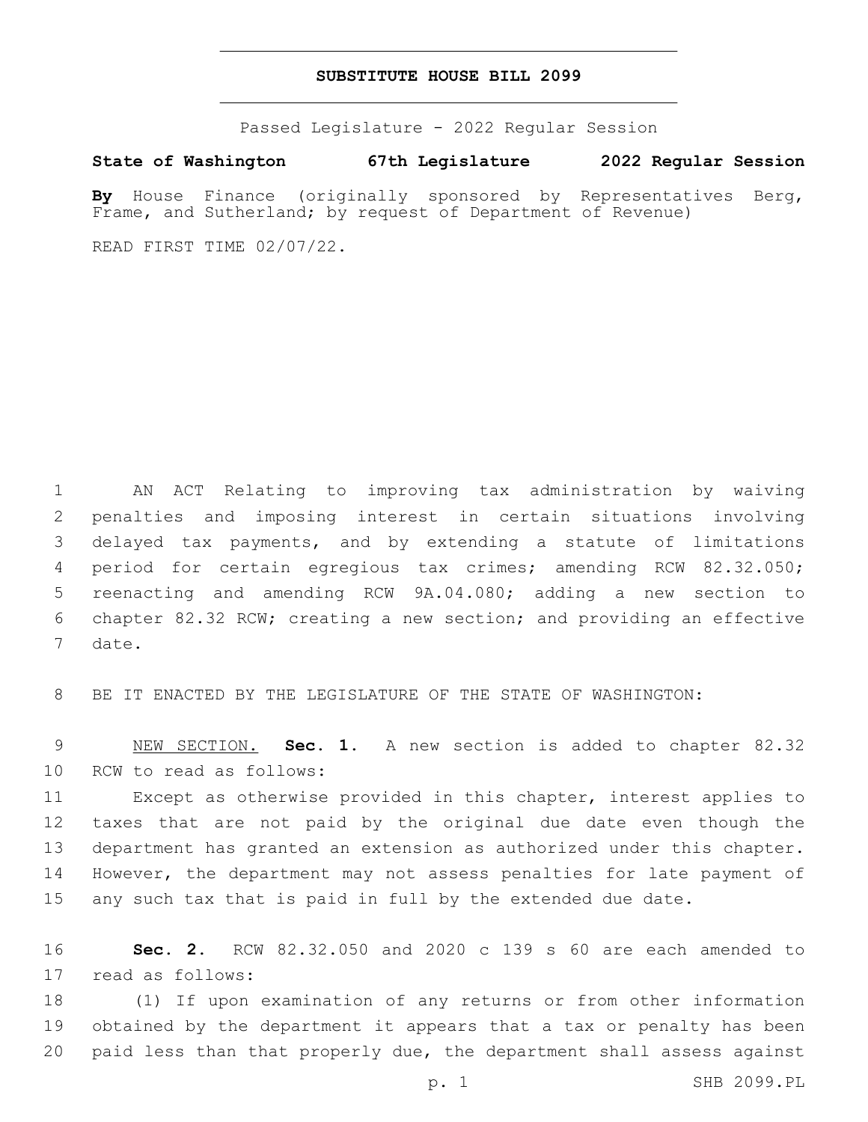#### **SUBSTITUTE HOUSE BILL 2099**

Passed Legislature - 2022 Regular Session

**State of Washington 67th Legislature 2022 Regular Session**

**By** House Finance (originally sponsored by Representatives Berg, Frame, and Sutherland; by request of Department of Revenue)

READ FIRST TIME 02/07/22.

 AN ACT Relating to improving tax administration by waiving penalties and imposing interest in certain situations involving delayed tax payments, and by extending a statute of limitations period for certain egregious tax crimes; amending RCW 82.32.050; reenacting and amending RCW 9A.04.080; adding a new section to chapter 82.32 RCW; creating a new section; and providing an effective 7 date.

BE IT ENACTED BY THE LEGISLATURE OF THE STATE OF WASHINGTON:

 NEW SECTION. **Sec. 1.** A new section is added to chapter 82.32 10 RCW to read as follows:

 Except as otherwise provided in this chapter, interest applies to taxes that are not paid by the original due date even though the department has granted an extension as authorized under this chapter. However, the department may not assess penalties for late payment of any such tax that is paid in full by the extended due date.

 **Sec. 2.** RCW 82.32.050 and 2020 c 139 s 60 are each amended to 17 read as follows:

 (1) If upon examination of any returns or from other information obtained by the department it appears that a tax or penalty has been paid less than that properly due, the department shall assess against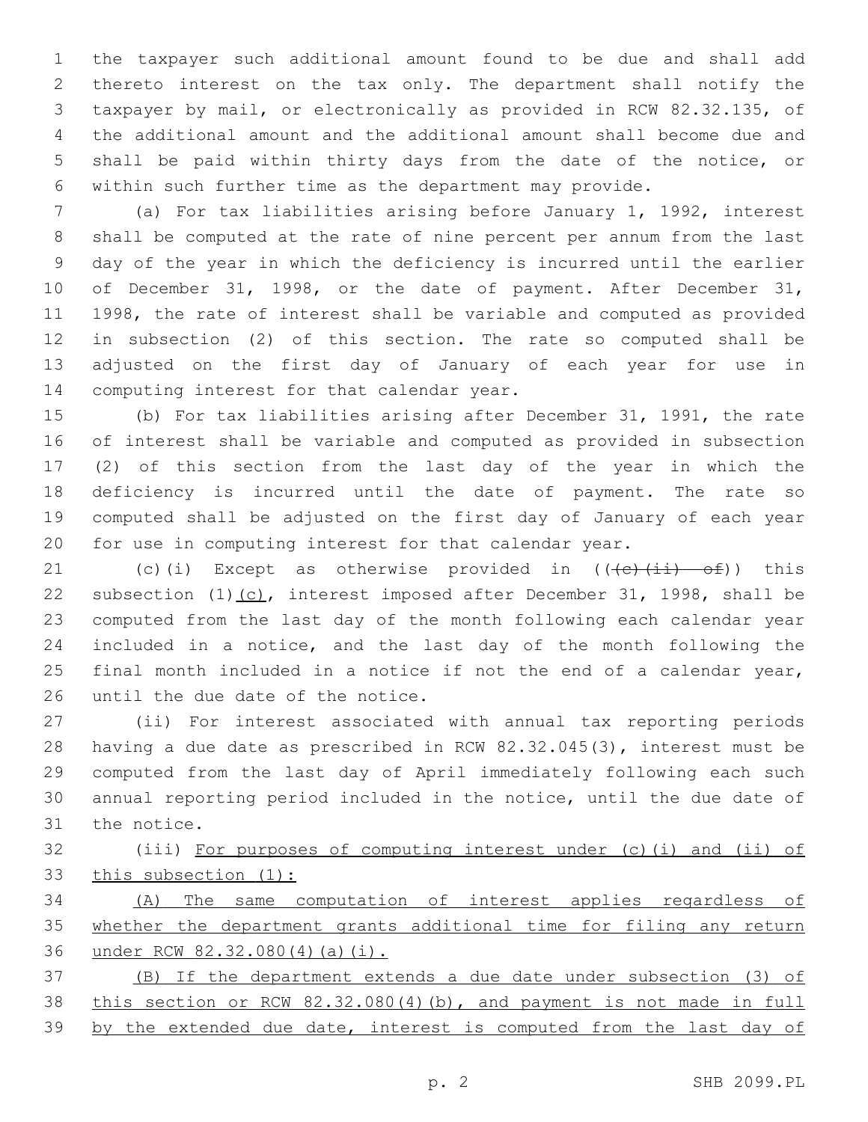the taxpayer such additional amount found to be due and shall add thereto interest on the tax only. The department shall notify the taxpayer by mail, or electronically as provided in RCW 82.32.135, of the additional amount and the additional amount shall become due and shall be paid within thirty days from the date of the notice, or within such further time as the department may provide.

 (a) For tax liabilities arising before January 1, 1992, interest shall be computed at the rate of nine percent per annum from the last day of the year in which the deficiency is incurred until the earlier of December 31, 1998, or the date of payment. After December 31, 1998, the rate of interest shall be variable and computed as provided in subsection (2) of this section. The rate so computed shall be adjusted on the first day of January of each year for use in 14 computing interest for that calendar year.

 (b) For tax liabilities arising after December 31, 1991, the rate of interest shall be variable and computed as provided in subsection (2) of this section from the last day of the year in which the deficiency is incurred until the date of payment. The rate so computed shall be adjusted on the first day of January of each year for use in computing interest for that calendar year.

21 (c)(i) Except as otherwise provided in  $((e)(ii) -e)$ ) this 22 subsection  $(1)$   $(c)$ , interest imposed after December 31, 1998, shall be computed from the last day of the month following each calendar year included in a notice, and the last day of the month following the final month included in a notice if not the end of a calendar year, 26 until the due date of the notice.

 (ii) For interest associated with annual tax reporting periods having a due date as prescribed in RCW 82.32.045(3), interest must be computed from the last day of April immediately following each such annual reporting period included in the notice, until the due date of 31 the notice.

 (iii) For purposes of computing interest under (c)(i) and (ii) of this subsection (1):

 (A) The same computation of interest applies regardless of whether the department grants additional time for filing any return under RCW 82.32.080(4)(a)(i).

 (B) If the department extends a due date under subsection (3) of this section or RCW 82.32.080(4)(b), and payment is not made in full 39 by the extended due date, interest is computed from the last day of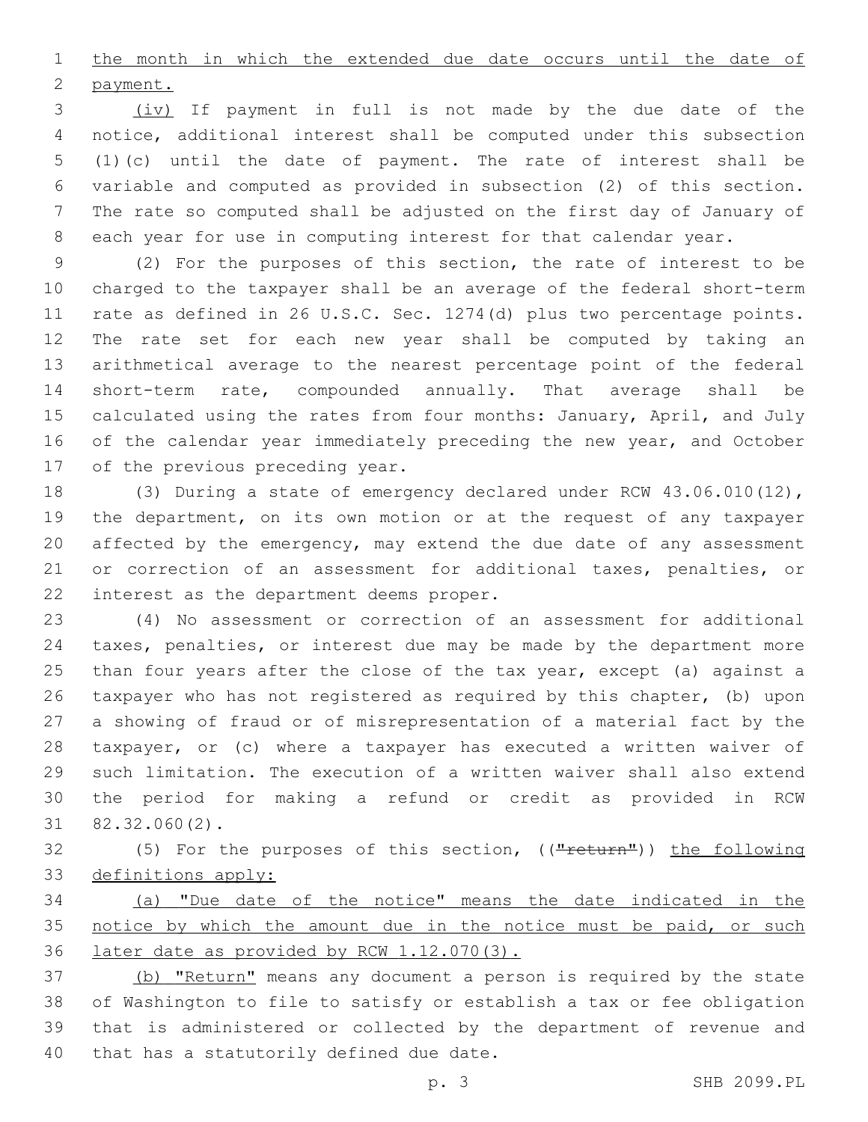1 the month in which the extended due date occurs until the date of 2 payment.

 (iv) If payment in full is not made by the due date of the notice, additional interest shall be computed under this subsection (1)(c) until the date of payment. The rate of interest shall be variable and computed as provided in subsection (2) of this section. The rate so computed shall be adjusted on the first day of January of each year for use in computing interest for that calendar year.

 (2) For the purposes of this section, the rate of interest to be charged to the taxpayer shall be an average of the federal short-term rate as defined in 26 U.S.C. Sec. 1274(d) plus two percentage points. The rate set for each new year shall be computed by taking an arithmetical average to the nearest percentage point of the federal short-term rate, compounded annually. That average shall be 15 calculated using the rates from four months: January, April, and July of the calendar year immediately preceding the new year, and October 17 of the previous preceding year.

 (3) During a state of emergency declared under RCW 43.06.010(12), the department, on its own motion or at the request of any taxpayer affected by the emergency, may extend the due date of any assessment 21 or correction of an assessment for additional taxes, penalties, or 22 interest as the department deems proper.

 (4) No assessment or correction of an assessment for additional taxes, penalties, or interest due may be made by the department more 25 than four years after the close of the tax year, except (a) against a taxpayer who has not registered as required by this chapter, (b) upon a showing of fraud or of misrepresentation of a material fact by the taxpayer, or (c) where a taxpayer has executed a written waiver of such limitation. The execution of a written waiver shall also extend the period for making a refund or credit as provided in RCW  $82.32.060(2)$ .

32 (5) For the purposes of this section, (("return")) the following definitions apply:

 (a) "Due date of the notice" means the date indicated in the 35 notice by which the amount due in the notice must be paid, or such later date as provided by RCW 1.12.070(3).

 (b) "Return" means any document a person is required by the state of Washington to file to satisfy or establish a tax or fee obligation that is administered or collected by the department of revenue and 40 that has a statutorily defined due date.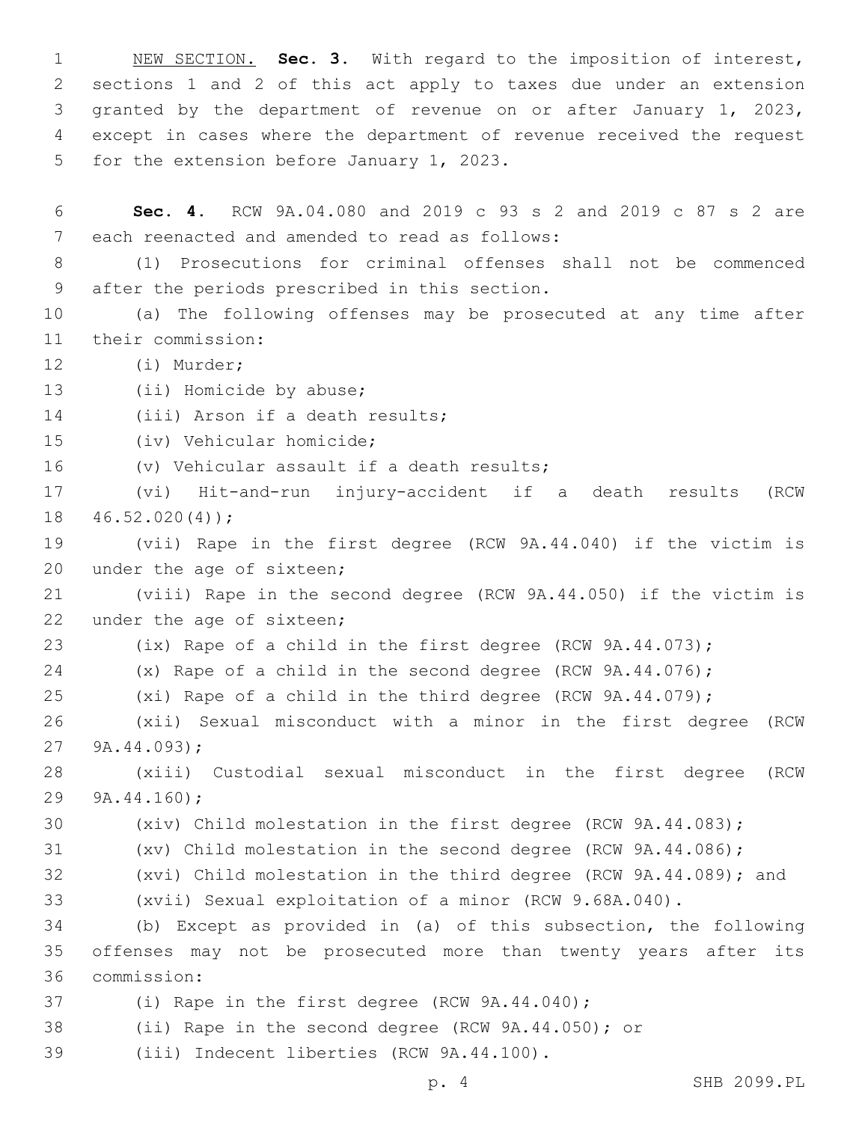NEW SECTION. **Sec. 3.** With regard to the imposition of interest, sections 1 and 2 of this act apply to taxes due under an extension granted by the department of revenue on or after January 1, 2023, except in cases where the department of revenue received the request for the extension before January 1, 2023.

6 **Sec. 4.** RCW 9A.04.080 and 2019 c 93 s 2 and 2019 c 87 s 2 are 7 each reenacted and amended to read as follows:

8 (1) Prosecutions for criminal offenses shall not be commenced 9 after the periods prescribed in this section.

10 (a) The following offenses may be prosecuted at any time after 11 their commission:

12 (i) Murder;

13 (ii) Homicide by abuse;

14 (iii) Arson if a death results;

15 (iv) Vehicular homicide;

16 (v) Vehicular assault if a death results;

17 (vi) Hit-and-run injury-accident if a death results (RCW  $18 46.52.020(4)$ ;

19 (vii) Rape in the first degree (RCW 9A.44.040) if the victim is 20 under the age of sixteen;

21 (viii) Rape in the second degree (RCW 9A.44.050) if the victim is 22 under the age of sixteen;

23 (ix) Rape of a child in the first degree (RCW 9A.44.073);

24 (x) Rape of a child in the second degree (RCW 9A.44.076);

25 (xi) Rape of a child in the third degree (RCW 9A.44.079);

26 (xii) Sexual misconduct with a minor in the first degree (RCW 27  $9A.44.093$ ;

28 (xiii) Custodial sexual misconduct in the first degree (RCW 29 9A.44.160);

30 (xiv) Child molestation in the first degree (RCW 9A.44.083);

- 31 (xv) Child molestation in the second degree (RCW 9A.44.086);
- 32 (xvi) Child molestation in the third degree (RCW 9A.44.089); and

33 (xvii) Sexual exploitation of a minor (RCW 9.68A.040).

34 (b) Except as provided in (a) of this subsection, the following 35 offenses may not be prosecuted more than twenty years after its commission:36

37 (i) Rape in the first degree (RCW 9A.44.040);

38 (ii) Rape in the second degree (RCW 9A.44.050); or

(iii) Indecent liberties (RCW 9A.44.100).39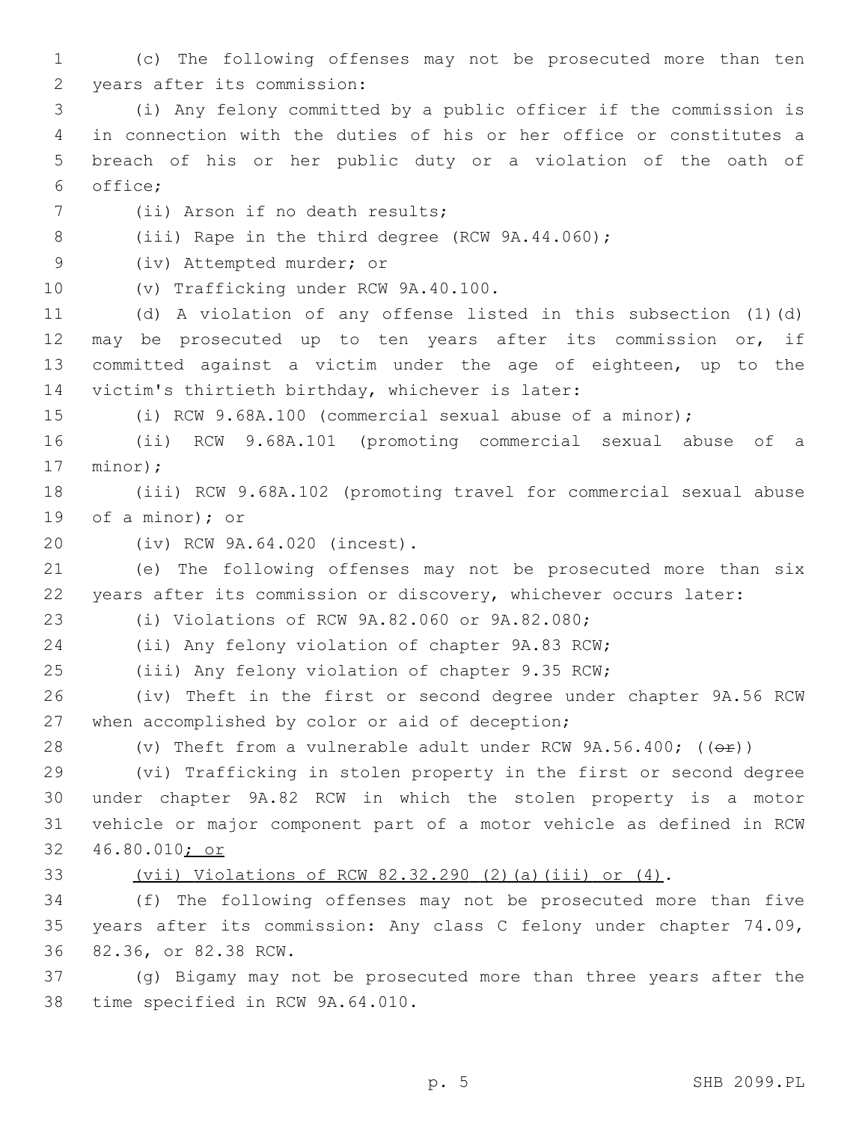1 (c) The following offenses may not be prosecuted more than ten 2 years after its commission:

 (i) Any felony committed by a public officer if the commission is in connection with the duties of his or her office or constitutes a breach of his or her public duty or a violation of the oath of office;6

7 (ii) Arson if no death results;

8 (iii) Rape in the third degree (RCW 9A.44.060);

9 (iv) Attempted murder; or

10 (v) Trafficking under RCW 9A.40.100.

 (d) A violation of any offense listed in this subsection (1)(d) may be prosecuted up to ten years after its commission or, if committed against a victim under the age of eighteen, up to the 14 victim's thirtieth birthday, whichever is later:

15 (i) RCW 9.68A.100 (commercial sexual abuse of a minor);

16 (ii) RCW 9.68A.101 (promoting commercial sexual abuse of a 17 minor);

18 (iii) RCW 9.68A.102 (promoting travel for commercial sexual abuse 19 of a minor); or

(iv) RCW 9A.64.020 (incest).20

21 (e) The following offenses may not be prosecuted more than six 22 years after its commission or discovery, whichever occurs later:

(i) Violations of RCW 9A.82.060 or 9A.82.080;23

24 (ii) Any felony violation of chapter 9A.83 RCW;

25 (iii) Any felony violation of chapter 9.35 RCW;

26 (iv) Theft in the first or second degree under chapter 9A.56 RCW 27 when accomplished by color or aid of deception;

28 (v) Theft from a vulnerable adult under RCW  $9A.56.400$ ; ( $(\theta \hat{r})$ )

 (vi) Trafficking in stolen property in the first or second degree under chapter 9A.82 RCW in which the stolen property is a motor vehicle or major component part of a motor vehicle as defined in RCW 46.80.010; or

# 33 (vii) Violations of RCW 82.32.290 (2)(a)(iii) or (4).

34 (f) The following offenses may not be prosecuted more than five 35 years after its commission: Any class C felony under chapter 74.09, 36 82.36, or 82.38 RCW.

37 (g) Bigamy may not be prosecuted more than three years after the 38 time specified in RCW 9A.64.010.